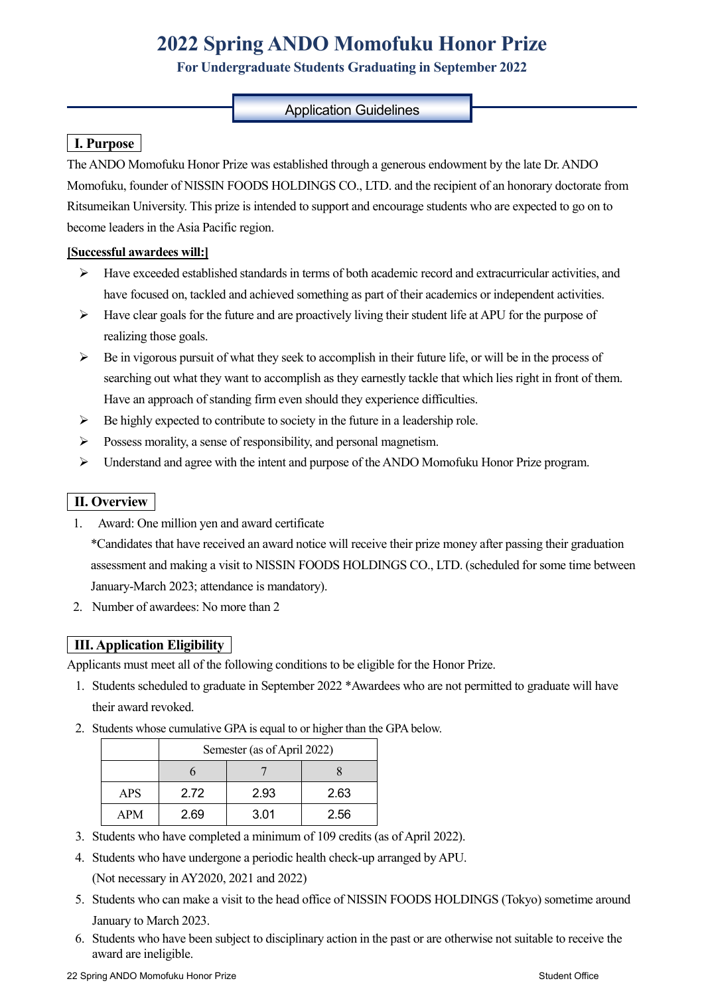# **2022 Spring ANDO Momofuku Honor Prize**

#### **For Undergraduate Students Graduating in September 2022**

#### Application Guidelines

## **I. Purpose**

The ANDO Momofuku Honor Prize was established through a generous endowment by the late Dr. ANDO Momofuku, founder of NISSIN FOODS HOLDINGS CO., LTD. and the recipient of an honorary doctorate from Ritsumeikan University. This prize is intended to support and encourage students who are expected to go on to become leaders in the Asia Pacific region.

#### **[Successful awardees will:]**

- $\triangleright$  Have exceeded established standards in terms of both academic record and extracurricular activities, and have focused on, tackled and achieved something as part of their academics or independent activities.
- $\triangleright$  Have clear goals for the future and are proactively living their student life at APU for the purpose of realizing those goals.
- $\triangleright$  Be in vigorous pursuit of what they seek to accomplish in their future life, or will be in the process of searching out what they want to accomplish as they earnestly tackle that which lies right in front of them. Have an approach of standing firm even should they experience difficulties.
- $\triangleright$  Be highly expected to contribute to society in the future in a leadership role.
- $\triangleright$  Possess morality, a sense of responsibility, and personal magnetism.
- Understand and agree with the intent and purpose of the ANDO Momofuku Honor Prize program.

### **II. Overview**

1. Award: One million yen and award certificate

\*Candidates that have received an award notice will receive their prize money after passing their graduation assessment and making a visit to NISSIN FOODS HOLDINGS CO., LTD. (scheduled for some time between January-March 2023; attendance is mandatory).

2. Number of awardees: No more than 2

### **III. Application Eligibility**

Applicants must meet all of the following conditions to be eligible for the Honor Prize.

- 1. Students scheduled to graduate in September 2022 \*Awardees who are not permitted to graduate will have their award revoked.
- 2. Students whose cumulative GPA is equal to or higher than the GPA below.

|            | Semester (as of April 2022) |      |      |
|------------|-----------------------------|------|------|
|            |                             |      |      |
| <b>APS</b> | 2.72                        | 2.93 | 2.63 |
| <b>APM</b> | 2.69                        | 3.01 | 2.56 |

- 3. Students who have completed a minimum of 109 credits (as of April 2022).
- 4. Students who have undergone a periodic health check-up arranged by APU. (Not necessary in AY2020, 2021 and 2022)
- 5. Students who can make a visit to the head office of NISSIN FOODS HOLDINGS (Tokyo) sometime around January to March 2023.
- 6. Students who have been subject to disciplinary action in the past or are otherwise not suitable to receive the award are ineligible.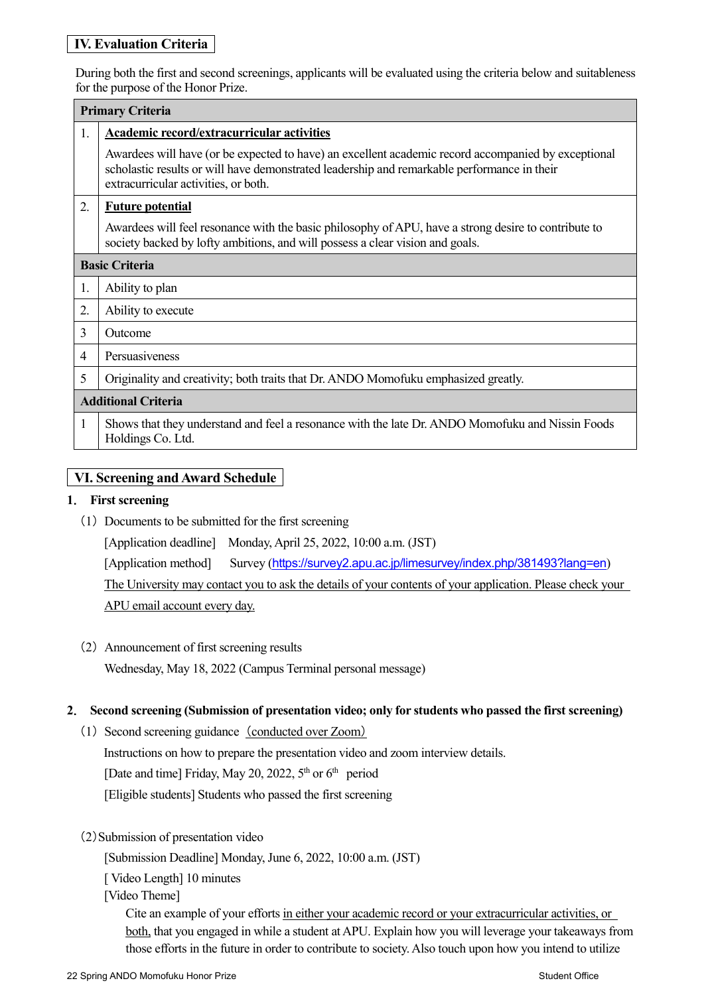# **IV. Evaluation Criteria**

During both the first and second screenings, applicants will be evaluated using the criteria below and suitableness for the purpose of the Honor Prize.

| <b>Primary Criteria</b>    |                                                                                                                                                                                                                                            |  |  |
|----------------------------|--------------------------------------------------------------------------------------------------------------------------------------------------------------------------------------------------------------------------------------------|--|--|
| 1.                         | <b>Academic record/extracurricular activities</b>                                                                                                                                                                                          |  |  |
|                            | Awardees will have (or be expected to have) an excellent academic record accompanied by exceptional<br>scholastic results or will have demonstrated leadership and remarkable performance in their<br>extracurricular activities, or both. |  |  |
| 2.                         | <b>Future potential</b>                                                                                                                                                                                                                    |  |  |
|                            | Awardees will feel resonance with the basic philosophy of APU, have a strong desire to contribute to<br>society backed by lofty ambitions, and will possess a clear vision and goals.                                                      |  |  |
| <b>Basic Criteria</b>      |                                                                                                                                                                                                                                            |  |  |
| 1.                         | Ability to plan                                                                                                                                                                                                                            |  |  |
| 2.                         | Ability to execute                                                                                                                                                                                                                         |  |  |
| 3                          | Outcome                                                                                                                                                                                                                                    |  |  |
| 4                          | Persuasiveness                                                                                                                                                                                                                             |  |  |
| 5                          | Originality and creativity; both traits that Dr. ANDO Momofuku emphasized greatly.                                                                                                                                                         |  |  |
| <b>Additional Criteria</b> |                                                                                                                                                                                                                                            |  |  |
| 1                          | Shows that they understand and feel a resonance with the late Dr. ANDO Momofuku and Nissin Foods<br>Holdings Co. Ltd.                                                                                                                      |  |  |

#### **VI. Screening and Award Schedule**

#### **1**. **First screening**

(1) Documents to be submitted for the first screening

[Application deadline] Monday, April 25, 2022, 10:00 a.m. (JST)

[Application method] Survey (<https://survey2.apu.ac.jp/limesurvey/index.php/381493?lang=en>)

The University may contact you to ask the details of your contents of your application. Please check your APU email account every day.

(2) Announcement of first screening results Wednesday, May 18, 2022 (Campus Terminal personal message)

#### **2**. **Second screening (Submission of presentation video; only for students who passed the first screening)**

- (1) Second screening guidance (conducted over Zoom) Instructions on how to prepare the presentation video and zoom interview details. [Date and time] Friday, May 20, 2022,  $5<sup>th</sup>$  or  $6<sup>th</sup>$  period [Eligible students] Students who passed the first screening
- (2)Submission of presentation video

[Submission Deadline] Monday, June 6, 2022, 10:00 a.m. (JST)

[ Video Length] 10 minutes

[Video Theme]

Cite an example of your efforts in either your academic record or your extracurricular activities, or both, that you engaged in while a student at APU. Explain how you will leverage your takeaways from those efforts in the future in order to contribute to society. Also touch upon how you intend to utilize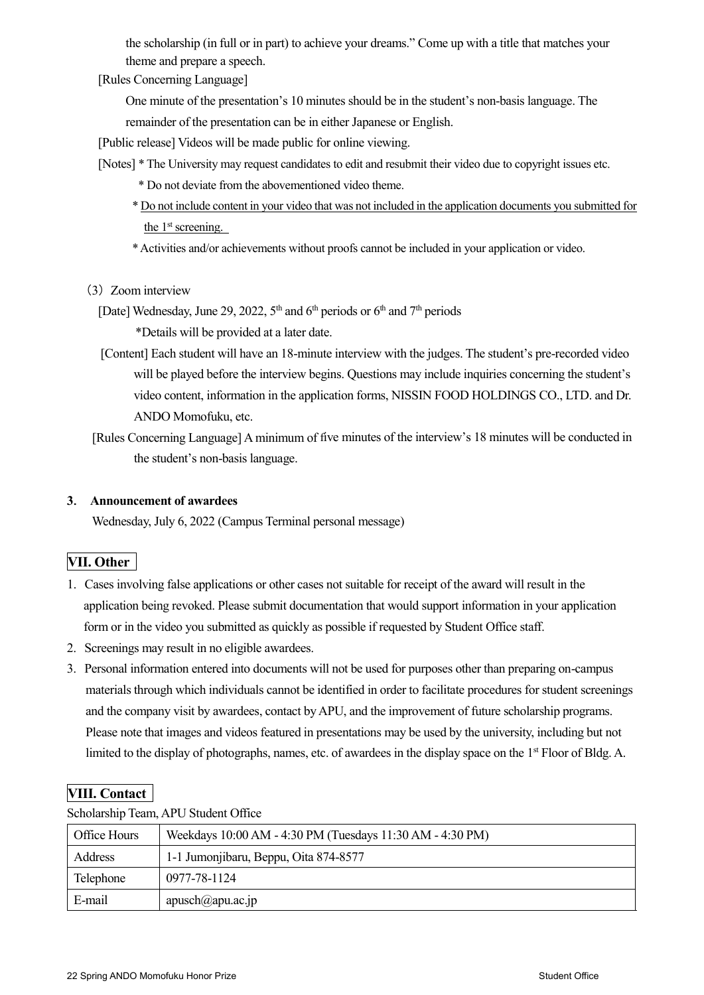the scholarship (in full or in part) to achieve your dreams." Come up with a title that matches your theme and prepare a speech.

[Rules Concerning Language]

One minute of the presentation's 10 minutes should be in the student's non-basis language. The remainder of the presentation can be in either Japanese or English.

[Public release] Videos will be made public for online viewing.

- [Notes] \* The University may request candidates to edit and resubmit their video due to copyright issues etc.
	- \* Do not deviate from the abovementioned video theme.
	- \* Do not include content in your video that was not included in the application documents you submitted for the 1<sup>st</sup> screening.

\* Activities and/or achievements without proofs cannot be included in your application or video.

(3) Zoom interview

[Date] Wednesday, June 29, 2022,  $5<sup>th</sup>$  and  $6<sup>th</sup>$  periods or  $6<sup>th</sup>$  and  $7<sup>th</sup>$  periods

\*Details will be provided at a later date.

[Content] Each student will have an 18-minute interview with the judges. The student's pre-recorded video will be played before the interview begins. Questions may include inquiries concerning the student's video content, information in the application forms, NISSIN FOOD HOLDINGS CO., LTD. and Dr. ANDO Momofuku, etc.

[Rules Concerning Language] A minimum of five minutes of the interview's 18 minutes will be conducted in the student's non-basis language.

#### **3**. **Announcement of awardees**

Wednesday, July 6, 2022 (Campus Terminal personal message)

### **VII. Other**

- 1. Cases involving false applications or other cases not suitable for receipt of the award will result in the application being revoked. Please submit documentation that would support information in your application form or in the video you submitted as quickly as possible if requested by Student Office staff.
- 2. Screenings may result in no eligible awardees.
- 3. Personal information entered into documents will not be used for purposes other than preparing on-campus materials through which individuals cannot be identified in order to facilitate procedures for student screenings and the company visit by awardees, contact by APU, and the improvement of future scholarship programs. Please note that images and videos featured in presentations may be used by the university, including but not limited to the display of photographs, names, etc. of awardees in the display space on the 1<sup>st</sup> Floor of Bldg. A.

# **VIII. Contact**

Scholarship Team, APU Student Office

| Office Hours   | Weekdays 10:00 AM - 4:30 PM (Tuesdays 11:30 AM - 4:30 PM) |  |
|----------------|-----------------------------------------------------------|--|
| <b>Address</b> | 1-1 Jumonjibaru, Beppu, Oita 874-8577                     |  |
| Telephone      | 0977-78-1124                                              |  |
| E-mail         | $apusch(\mathcal{Q}apu.ac.jp$                             |  |